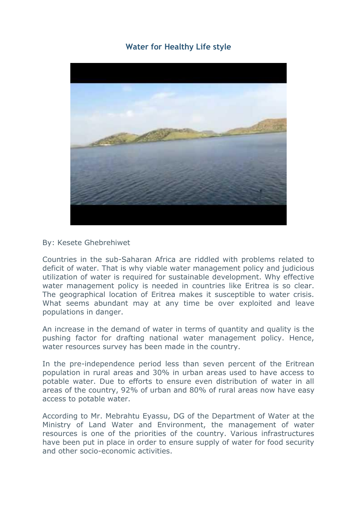## **[Water for Healthy Life style](http://www.shabait.com/articles/nation-building/26947-water-for-healthy-life-style-)**



## By: Kesete Ghebrehiwet

Countries in the sub-Saharan Africa are riddled with problems related to deficit of water. That is why viable water management policy and judicious utilization of water is required for sustainable development. Why effective water management policy is needed in countries like Eritrea is so clear. The geographical location of Eritrea makes it susceptible to water crisis. What seems abundant may at any time be over exploited and leave populations in danger.

An increase in the demand of water in terms of quantity and quality is the pushing factor for drafting national water management policy. Hence, water resources survey has been made in the country.

In the pre-independence period less than seven percent of the Eritrean population in rural areas and 30% in urban areas used to have access to potable water. Due to efforts to ensure even distribution of water in all areas of the country, 92% of urban and 80% of rural areas now have easy access to potable water.

According to Mr. Mebrahtu Eyassu, DG of the Department of Water at the Ministry of Land Water and Environment, the management of water resources is one of the priorities of the country. Various infrastructures have been put in place in order to ensure supply of water for food security and other socio-economic activities.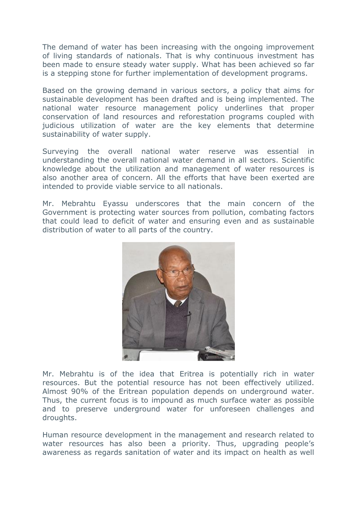The demand of water has been increasing with the ongoing improvement of living standards of nationals. That is why continuous investment has been made to ensure steady water supply. What has been achieved so far is a stepping stone for further implementation of development programs.

Based on the growing demand in various sectors, a policy that aims for sustainable development has been drafted and is being implemented. The national water resource management policy underlines that proper conservation of land resources and reforestation programs coupled with judicious utilization of water are the key elements that determine sustainability of water supply.

Surveying the overall national water reserve was essential in understanding the overall national water demand in all sectors. Scientific knowledge about the utilization and management of water resources is also another area of concern. All the efforts that have been exerted are intended to provide viable service to all nationals.

Mr. Mebrahtu Eyassu underscores that the main concern of the Government is protecting water sources from pollution, combating factors that could lead to deficit of water and ensuring even and as sustainable distribution of water to all parts of the country.



Mr. Mebrahtu is of the idea that Eritrea is potentially rich in water resources. But the potential resource has not been effectively utilized. Almost 90% of the Eritrean population depends on underground water. Thus, the current focus is to impound as much surface water as possible and to preserve underground water for unforeseen challenges and droughts.

Human resource development in the management and research related to water resources has also been a priority. Thus, upgrading people's awareness as regards sanitation of water and its impact on health as well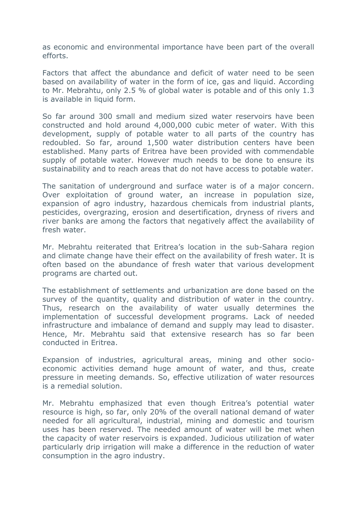as economic and environmental importance have been part of the overall efforts.

Factors that affect the abundance and deficit of water need to be seen based on availability of water in the form of ice, gas and liquid. According to Mr. Mebrahtu, only 2.5 % of global water is potable and of this only 1.3 is available in liquid form.

So far around 300 small and medium sized water reservoirs have been constructed and hold around 4,000,000 cubic meter of water. With this development, supply of potable water to all parts of the country has redoubled. So far, around 1,500 water distribution centers have been established. Many parts of Eritrea have been provided with commendable supply of potable water. However much needs to be done to ensure its sustainability and to reach areas that do not have access to potable water.

The sanitation of underground and surface water is of a major concern. Over exploitation of ground water, an increase in population size, expansion of agro industry, hazardous chemicals from industrial plants, pesticides, overgrazing, erosion and desertification, dryness of rivers and river banks are among the factors that negatively affect the availability of fresh water.

Mr. Mebrahtu reiterated that Eritrea's location in the sub-Sahara region and climate change have their effect on the availability of fresh water. It is often based on the abundance of fresh water that various development programs are charted out.

The establishment of settlements and urbanization are done based on the survey of the quantity, quality and distribution of water in the country. Thus, research on the availability of water usually determines the implementation of successful development programs. Lack of needed infrastructure and imbalance of demand and supply may lead to disaster. Hence, Mr. Mebrahtu said that extensive research has so far been conducted in Eritrea.

Expansion of industries, agricultural areas, mining and other socioeconomic activities demand huge amount of water, and thus, create pressure in meeting demands. So, effective utilization of water resources is a remedial solution.

Mr. Mebrahtu emphasized that even though Eritrea's potential water resource is high, so far, only 20% of the overall national demand of water needed for all agricultural, industrial, mining and domestic and tourism uses has been reserved. The needed amount of water will be met when the capacity of water reservoirs is expanded. Judicious utilization of water particularly drip irrigation will make a difference in the reduction of water consumption in the agro industry.